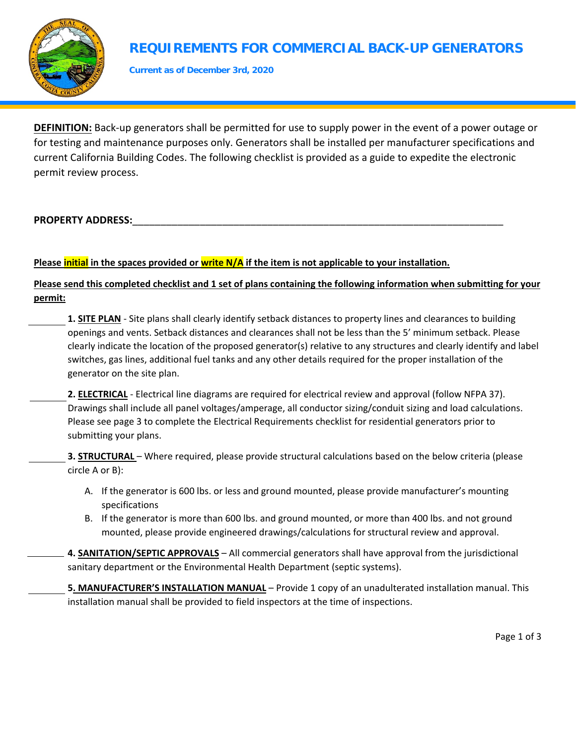

## **REQUIREMENTS FOR COMMERCIAL BACK-UP GENERATORS**

**Current as of December 3rd, 2020**

**DEFINITION:** Back-up generators shall be permitted for use to supply power in the event of a power outage or for testing and maintenance purposes only. Generators shall be installed per manufacturer specifications and current California Building Codes. The following checklist is provided as a guide to expedite the electronic permit review process.

## PROPERTY ADDRESS:

## **Please initial in the spaces provided or write N/A if the item is not applicable to your installation.**

**Please send this completed checklist and 1 set of plans containing the following information when submitting for your permit:** 

**1. SITE PLAN** - Site plans shall clearly identify setback distances to property lines and clearances to building openings and vents. Setback distances and clearances shall not be less than the 5' minimum setback. Please clearly indicate the location of the proposed generator(s) relative to any structures and clearly identify and label switches, gas lines, additional fuel tanks and any other details required for the proper installation of the generator on the site plan.

**2. ELECTRICAL** - Electrical line diagrams are required for electrical review and approval (follow NFPA 37). Drawings shall include all panel voltages/amperage, all conductor sizing/conduit sizing and load calculations. Please see page 3 to complete the Electrical Requirements checklist for residential generators prior to submitting your plans.

**3. STRUCTURAL** – Where required, please provide structural calculations based on the below criteria (please circle A or B):

- A. If the generator is 600 lbs. or less and ground mounted, please provide manufacturer's mounting specifications
- B. If the generator is more than 600 lbs. and ground mounted, or more than 400 lbs. and not ground mounted, please provide engineered drawings/calculations for structural review and approval.
- **4. SANITATION/SEPTIC APPROVALS** All commercial generators shall have approval from the jurisdictional sanitary department or the Environmental Health Department (septic systems).

**5. MANUFACTURER'S INSTALLATION MANUAL** – Provide 1 copy of an unadulterated installation manual. This installation manual shall be provided to field inspectors at the time of inspections.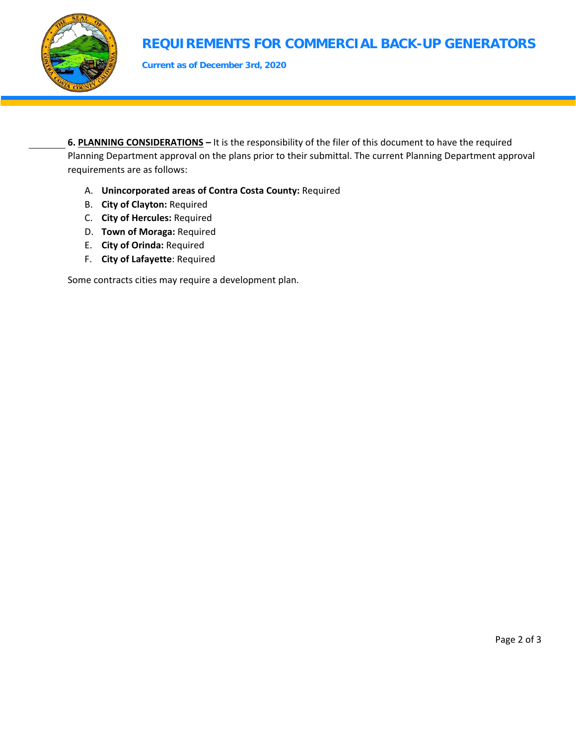

# **REQUIREMENTS FOR COMMERCIAL BACK-UP GENERATORS**

**Current as of December 3rd, 2020**

**6. PLANNING CONSIDERATIONS –** It is the responsibility of the filer of this document to have the required Planning Department approval on the plans prior to their submittal. The current Planning Department approval requirements are as follows:

- A. **Unincorporated areas of Contra Costa County:** Required
- B. **City of Clayton:** Required
- C. **City of Hercules:** Required
- D. **Town of Moraga:** Required
- E. **City of Orinda:** Required
- F. **City of Lafayette**: Required

Some contracts cities may require a development plan.